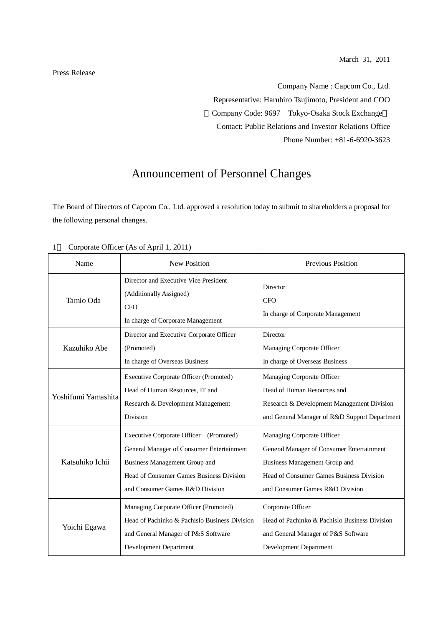March 31, 2011

Company Name : Capcom Co., Ltd. Representative: Haruhiro Tsujimoto, President and COO Company Code: 9697 Tokyo-Osaka Stock Exchange Contact: Public Relations and Investor Relations Office Phone Number: +81-6-6920-3623

## Announcement of Personnel Changes

The Board of Directors of Capcom Co., Ltd. approved a resolution today to submit to shareholders a proposal for the following personal changes.

| Name                | New Position                                                                                                                                                                                        | Previous Position                                                                                                                                                                       |
|---------------------|-----------------------------------------------------------------------------------------------------------------------------------------------------------------------------------------------------|-----------------------------------------------------------------------------------------------------------------------------------------------------------------------------------------|
| Tamio Oda           | Director and Executive Vice President<br>(Additionally Assigned)<br><b>CFO</b><br>In charge of Corporate Management                                                                                 | Director<br><b>CFO</b><br>In charge of Corporate Management                                                                                                                             |
| Kazuhiko Abe        | Director and Executive Corporate Officer<br>(Promoted)<br>In charge of Overseas Business                                                                                                            | Director<br>Managing Corporate Officer<br>In charge of Overseas Business                                                                                                                |
| Yoshifumi Yamashita | Executive Corporate Officer (Promoted)<br>Head of Human Resources, IT and<br>Research & Development Management<br>Division                                                                          | Managing Corporate Officer<br>Head of Human Resources and<br>Research & Development Management Division<br>and General Manager of R&D Support Department                                |
| Katsuhiko Ichii     | Executive Corporate Officer (Promoted)<br>General Manager of Consumer Entertainment<br>Business Management Group and<br>Head of Consumer Games Business Division<br>and Consumer Games R&D Division | Managing Corporate Officer<br>General Manager of Consumer Entertainment<br>Business Management Group and<br>Head of Consumer Games Business Division<br>and Consumer Games R&D Division |
| Yoichi Egawa        | Managing Corporate Officer (Promoted)<br>Head of Pachinko & Pachislo Business Division<br>and General Manager of P&S Software<br>Development Department                                             | Corporate Officer<br>Head of Pachinko & Pachislo Business Division<br>and General Manager of P&S Software<br><b>Development Department</b>                                              |

1 Corporate Officer (As of April 1, 2011)